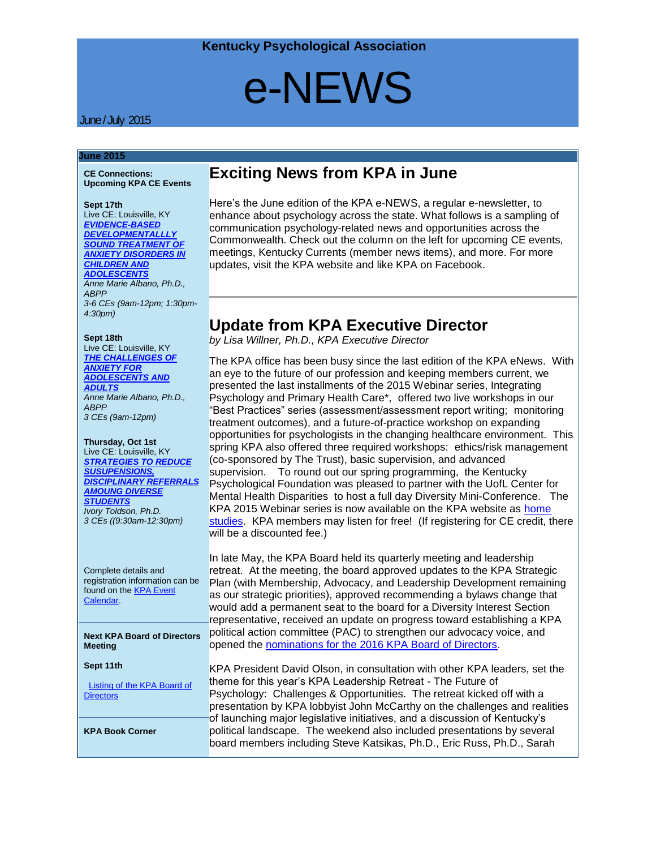## e-NEWS

### June / July 2015

#### **June 2015**

**CE Connections: Upcoming KPA CE Events**

#### **Sept 17th**

Live CE: Louisville, KY *[EVIDENCE-BASED](http://www.kpa.org/link.asp?e=alexandra@kpa.org&job=1933931&ymlink=3753812&finalurl=http%3A%2F%2Fwww%2Ekpa%2Eorg%2Fevents%2Fevent%5Fdetails%2Easp%3Fid%3D521233%26group%3D)  [DEVELOPMENTALLLY](http://www.kpa.org/link.asp?e=alexandra@kpa.org&job=1933931&ymlink=3753812&finalurl=http%3A%2F%2Fwww%2Ekpa%2Eorg%2Fevents%2Fevent%5Fdetails%2Easp%3Fid%3D521233%26group%3D)  [SOUND TREATMENT OF](http://www.kpa.org/link.asp?e=alexandra@kpa.org&job=1933931&ymlink=3753812&finalurl=http%3A%2F%2Fwww%2Ekpa%2Eorg%2Fevents%2Fevent%5Fdetails%2Easp%3Fid%3D521233%26group%3D)  [ANXIETY DISORDERS IN](http://www.kpa.org/link.asp?e=alexandra@kpa.org&job=1933931&ymlink=3753812&finalurl=http%3A%2F%2Fwww%2Ekpa%2Eorg%2Fevents%2Fevent%5Fdetails%2Easp%3Fid%3D521233%26group%3D)  [CHILDREN AND](http://www.kpa.org/link.asp?e=alexandra@kpa.org&job=1933931&ymlink=3753812&finalurl=http%3A%2F%2Fwww%2Ekpa%2Eorg%2Fevents%2Fevent%5Fdetails%2Easp%3Fid%3D521233%26group%3D)  [ADOLESCENTS](http://www.kpa.org/link.asp?e=alexandra@kpa.org&job=1933931&ymlink=3753812&finalurl=http%3A%2F%2Fwww%2Ekpa%2Eorg%2Fevents%2Fevent%5Fdetails%2Easp%3Fid%3D521233%26group%3D) Anne Marie Albano, Ph.D., ABPP 3-6 CEs (9am-12pm; 1:30pm-4:30pm)*

### **Sept 18th**

Live CE: Louisville, KY *[THE CHALLENGES OF](http://www.kpa.org/link.asp?e=alexandra@kpa.org&job=1933931&ymlink=3753812&finalurl=http%3A%2F%2Fkpa%2Esite%2Dym%2Ecom%2Fevents%2Fevent%5Fdetails%2Easp%3Fid%3D521233%26group%3D)  [ANXIETY FOR](http://www.kpa.org/link.asp?e=alexandra@kpa.org&job=1933931&ymlink=3753812&finalurl=http%3A%2F%2Fkpa%2Esite%2Dym%2Ecom%2Fevents%2Fevent%5Fdetails%2Easp%3Fid%3D521233%26group%3D)  [ADOLESCENTS AND](http://www.kpa.org/link.asp?e=alexandra@kpa.org&job=1933931&ymlink=3753812&finalurl=http%3A%2F%2Fkpa%2Esite%2Dym%2Ecom%2Fevents%2Fevent%5Fdetails%2Easp%3Fid%3D521233%26group%3D)  [ADULTS](http://www.kpa.org/link.asp?e=alexandra@kpa.org&job=1933931&ymlink=3753812&finalurl=http%3A%2F%2Fkpa%2Esite%2Dym%2Ecom%2Fevents%2Fevent%5Fdetails%2Easp%3Fid%3D521233%26group%3D) Anne Marie Albano, Ph.D., ABPP 3 CEs (9am-12pm)*

### **Thursday, Oct 1st**

Live CE: Louisville, KY *[STRATEGIES TO REDUCE](http://www.kpa.org/link.asp?e=alexandra@kpa.org&job=1933931&ymlink=3753812&finalurl=http%3A%2F%2Fwww%2Ekpa%2Eorg%2Fevents%2Fevent%5Fdetails%2Easp%3Fid%3D652844%26group%3D)  [SUSUPENSIONS,](http://www.kpa.org/link.asp?e=alexandra@kpa.org&job=1933931&ymlink=3753812&finalurl=http%3A%2F%2Fwww%2Ekpa%2Eorg%2Fevents%2Fevent%5Fdetails%2Easp%3Fid%3D652844%26group%3D)  [DISCIPLINARY REFERRALS](http://www.kpa.org/link.asp?e=alexandra@kpa.org&job=1933931&ymlink=3753812&finalurl=http%3A%2F%2Fwww%2Ekpa%2Eorg%2Fevents%2Fevent%5Fdetails%2Easp%3Fid%3D652844%26group%3D)  [AMOUNG DIVERSE](http://www.kpa.org/link.asp?e=alexandra@kpa.org&job=1933931&ymlink=3753812&finalurl=http%3A%2F%2Fwww%2Ekpa%2Eorg%2Fevents%2Fevent%5Fdetails%2Easp%3Fid%3D652844%26group%3D)  [STUDENTS](http://www.kpa.org/link.asp?e=alexandra@kpa.org&job=1933931&ymlink=3753812&finalurl=http%3A%2F%2Fwww%2Ekpa%2Eorg%2Fevents%2Fevent%5Fdetails%2Easp%3Fid%3D652844%26group%3D) Ivory Toldson, Ph.D. 3 CEs ((9:30am-12:30pm)*

Complete details and registration information can be found on the **KPA Event** [Calendar.](http://www.kpa.org/link.asp?e=alexandra@kpa.org&job=1933931&ymlink=3753812&finalurl=http%3A%2F%2Fwww%2Ekpa%2Eorg%2Fevents%2Fevent%5Flist%2Easp)

**Next KPA Board of Directors Meeting**

**Sept 11th**

[Listing of the KPA Board of](http://www.kpa.org/link.asp?e=alexandra@kpa.org&job=1933931&ymlink=3753812&finalurl=http%3A%2F%2Fwww%2Ekpa%2Eorg%2F%3Fpage%3DBoardofDirectors)  **[Directors](http://www.kpa.org/link.asp?e=alexandra@kpa.org&job=1933931&ymlink=3753812&finalurl=http%3A%2F%2Fwww%2Ekpa%2Eorg%2F%3Fpage%3DBoardofDirectors)** 

**KPA Book Corner**

## **Exciting News from KPA in June**

Here's the June edition of the KPA e-NEWS, a regular e-newsletter, to enhance about psychology across the state. What follows is a sampling of communication psychology-related news and opportunities across the Commonwealth. Check out the column on the left for upcoming CE events, meetings, Kentucky Currents (member news items), and more. For more updates, visit the KPA website and like KPA on Facebook.

## **Update from KPA Executive Director**

*by Lisa Willner, Ph.D., KPA Executive Director*

The KPA office has been busy since the last edition of the KPA eNews. With an eye to the future of our profession and keeping members current, we presented the last installments of the 2015 Webinar series, Integrating Psychology and Primary Health Care\*, offered two live workshops in our "Best Practices" series (assessment/assessment report writing; monitoring treatment outcomes), and a future-of-practice workshop on expanding opportunities for psychologists in the changing healthcare environment. This spring KPA also offered three required workshops: ethics/risk management (co-sponsored by The Trust), basic supervision, and advanced supervision. To round out our spring programming, the Kentucky Psychological Foundation was pleased to partner with the UofL Center for Mental Health Disparities to host a full day Diversity Mini-Conference. The KPA 2015 Webinar series is now available on the KPA website as [home](http://www.kpa.org/link.asp?e=alexandra@kpa.org&job=1933931&ymlink=3753812&finalurl=http%3A%2F%2Fwww%2Ekpa%2Eorg%2F%3Fpage%3D15)  [studies.](http://www.kpa.org/link.asp?e=alexandra@kpa.org&job=1933931&ymlink=3753812&finalurl=http%3A%2F%2Fwww%2Ekpa%2Eorg%2F%3Fpage%3D15) KPA members may listen for free! (If registering for CE credit, there will be a discounted fee.)

In late May, the KPA Board held its quarterly meeting and leadership retreat. At the meeting, the board approved updates to the KPA Strategic Plan (with Membership, Advocacy, and Leadership Development remaining as our strategic priorities), approved recommending a bylaws change that would add a permanent seat to the board for a Diversity Interest Section representative, received an update on progress toward establishing a KPA political action committee (PAC) to strengthen our advocacy voice, and opened the [nominations for the 2016 KPA Board of Directors.](http://www.kpa.org/link.asp?e=alexandra@kpa.org&job=1933931&ymlink=3753812&finalurl=https%3A%2F%2Fkpa%2Esite%2Dym%2Ecom%2Fgeneral%2Fcustom%2Easp%3Fpage%3D2015BoardN)

KPA President David Olson, in consultation with other KPA leaders, set the theme for this year's KPA Leadership Retreat - The Future of Psychology: Challenges & Opportunities. The retreat kicked off with a presentation by KPA lobbyist John McCarthy on the challenges and realities of launching major legislative initiatives, and a discussion of Kentucky's political landscape. The weekend also included presentations by several board members including Steve Katsikas, Ph.D., Eric Russ, Ph.D., Sarah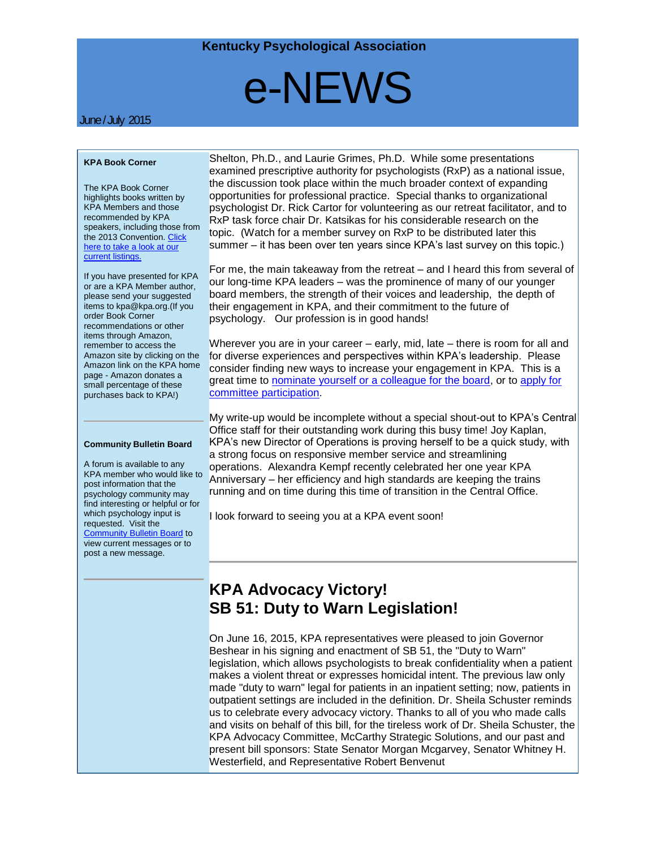## e-NEWS

### June / July 2015

### **KPA Book Corner**

The KPA Book Corner highlights books written by KPA Members and those recommended by KPA speakers, including those from the 2013 Convention. Click [here to take a look at our](http://www.kpa.org/link.asp?e=alexandra@kpa.org&job=1933931&ymlink=3753812&finalurl=http%3A%2F%2Fwww%2Ekpa%2Eorg%2F%3F477)  [current listings.](http://www.kpa.org/link.asp?e=alexandra@kpa.org&job=1933931&ymlink=3753812&finalurl=http%3A%2F%2Fwww%2Ekpa%2Eorg%2F%3F477)

If you have presented for KPA or are a KPA Member author, please send your suggested items to kpa@kpa.org.(If you order Book Corner recommendations or other items through Amazon, remember to access the Amazon site by clicking on the Amazon link on the KPA home page - Amazon donates a small percentage of these purchases back to KPA!)

Shelton, Ph.D., and Laurie Grimes, Ph.D. While some presentations examined prescriptive authority for psychologists (RxP) as a national issue, the discussion took place within the much broader context of expanding opportunities for professional practice. Special thanks to organizational psychologist Dr. Rick Cartor for volunteering as our retreat facilitator, and to RxP task force chair Dr. Katsikas for his considerable research on the topic. (Watch for a member survey on RxP to be distributed later this summer – it has been over ten years since KPA's last survey on this topic.)

For me, the main takeaway from the retreat – and I heard this from several of our long-time KPA leaders – was the prominence of many of our younger board members, the strength of their voices and leadership, the depth of their engagement in KPA, and their commitment to the future of psychology. Our profession is in good hands!

Wherever you are in your career – early, mid, late – there is room for all and for diverse experiences and perspectives within KPA's leadership. Please consider finding new ways to increase your engagement in KPA. This is a great time to [nominate yourself or a colleague for the board,](http://www.kpa.org/link.asp?e=alexandra@kpa.org&job=1933931&ymlink=3753812&finalurl=https%3A%2F%2Fkpa%2Esite%2Dym%2Ecom%2Fgeneral%2Fcustom%2Easp%3Fpage%3D2015BoardN) or to [apply for](http://www.kpa.org/link.asp?e=alexandra@kpa.org&job=1933931&ymlink=3753812&finalurl=https%3A%2F%2Fkpa%2Esite%2Dym%2Ecom%2F%3F520)  [committee participatio](http://www.kpa.org/link.asp?e=alexandra@kpa.org&job=1933931&ymlink=3753812&finalurl=https%3A%2F%2Fkpa%2Esite%2Dym%2Ecom%2F%3F520)[n.](http://www.kpa.org/link.asp?e=alexandra@kpa.org&job=1933931&ymlink=3753812&finalurl=http%3A%2F%2Fwww%2Ekpa%2Eorg%2F%3Fpage%3DCommitteeApplication)

#### **Community Bulletin Board**

A forum is available to any KPA member who would like to post information that the psychology community may find interesting or helpful or for which psychology input is requested. Visit the **[Community Bulletin Board](http://www.kpa.org/link.asp?e=alexandra@kpa.org&job=1933931&ymlink=3753812&finalurl=http%3A%2F%2Fkpa%2Esite%2Dym%2Ecom%2Fforums%2F) to** view current messages or to post a new message.

My write-up would be incomplete without a special shout-out to KPA's Central Office staff for their outstanding work during this busy time! Joy Kaplan, KPA's new Director of Operations is proving herself to be a quick study, with a strong focus on responsive member service and streamlining operations. Alexandra Kempf recently celebrated her one year KPA Anniversary – her efficiency and high standards are keeping the trains running and on time during this time of transition in the Central Office.

I look forward to seeing you at a KPA event soon!

## **KPA Advocacy Victory! SB 51: Duty to Warn Legislation!**

On June 16, 2015, KPA representatives were pleased to join Governor Beshear in his signing and enactment of SB 51, the "Duty to Warn" legislation, which allows psychologists to break confidentiality when a patient makes a violent threat or expresses homicidal intent. The previous law only made "duty to warn" legal for patients in an inpatient setting; now, patients in outpatient settings are included in the definition. Dr. Sheila Schuster reminds us to celebrate every advocacy victory. Thanks to all of you who made calls and visits on behalf of this bill, for the tireless work of Dr. Sheila Schuster, the KPA Advocacy Committee, McCarthy Strategic Solutions, and our past and present bill sponsors: State Senator Morgan Mcgarvey, Senator Whitney H. Westerfield, and Representative Robert Benvenut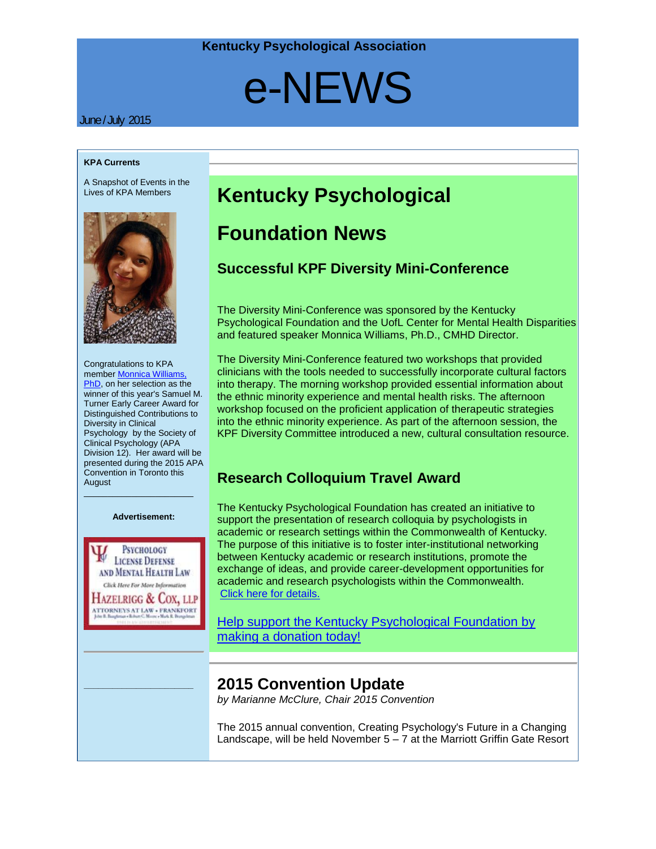## e-NEWS

### June / July 2015

### **KPA Currents**

A Snapshot of Events in the Lives of KPA Members



Congratulations to KPA member [Monnica Williams,](http://www.kpa.org/link.asp?e=alexandra@kpa.org&job=1933931&ymlink=3753812&finalurl=http%3A%2F%2Flouisville%2Eedu%2Fpsychology%2Fwilliams)  [PhD,](http://www.kpa.org/link.asp?e=alexandra@kpa.org&job=1933931&ymlink=3753812&finalurl=http%3A%2F%2Flouisville%2Eedu%2Fpsychology%2Fwilliams) on her selection as the winner of this year's Samuel M. Turner Early Career Award for Distinguished Contributions to Diversity in Clinical Psychology by the Society of Clinical Psychology (APA Division 12). Her award will be presented during the 2015 APA Convention in Toronto this August

#### **Advertisement:**

\_\_\_\_\_\_\_\_\_\_\_\_\_\_\_\_\_\_\_\_\_\_\_



**\_\_\_\_\_\_\_\_\_\_\_\_\_\_\_\_\_\_\_\_\_\_\_** 

## **Kentucky Psychological**

## **Foundation News**

## **Successful KPF Diversity Mini-Conference**

The Diversity Mini-Conference was sponsored by the Kentucky Psychological Foundation and the UofL Center for Mental Health Disparities and featured speaker Monnica Williams, Ph.D., CMHD Director.

The Diversity Mini-Conference featured two workshops that provided clinicians with the tools needed to successfully incorporate cultural factors into therapy. The morning workshop provided essential information about the ethnic minority experience and mental health risks. The afternoon workshop focused on the proficient application of therapeutic strategies into the ethnic minority experience. As part of the afternoon session, the KPF Diversity Committee introduced a new, cultural consultation resource.

## **Research Colloquium Travel Award**

The Kentucky Psychological Foundation has created an initiative to support the presentation of research colloquia by psychologists in academic or research settings within the Commonwealth of Kentucky. The purpose of this initiative is to foster inter-institutional networking between Kentucky academic or research institutions, promote the exchange of ideas, and provide career-development opportunities for academic and research psychologists within the Commonwealth. [Click here for details.](http://www.kpa.org/link.asp?e=alexandra@kpa.org&job=1933931&ymlink=3753812&finalurl=https%3A%2F%2Fkpa%2Esite%2Dym%2Ecom%2F%3F638)

Help support the Kentucky Psychological Foundation by [making a donation today!](http://www.kpa.org/link.asp?e=alexandra@kpa.org&job=1933931&ymlink=3753812&finalurl=https%3A%2F%2Fkpa%2Esite%2Dym%2Ecom%2Fdonations%2Fdonate%2Easp%3Fid%3D7869)

## **2015 Convention Update**

*by Marianne McClure, Chair 2015 Convention*

The 2015 annual convention, Creating Psychology's Future in a Changing Landscape, will be held November 5 – 7 at the Marriott Griffin Gate Resort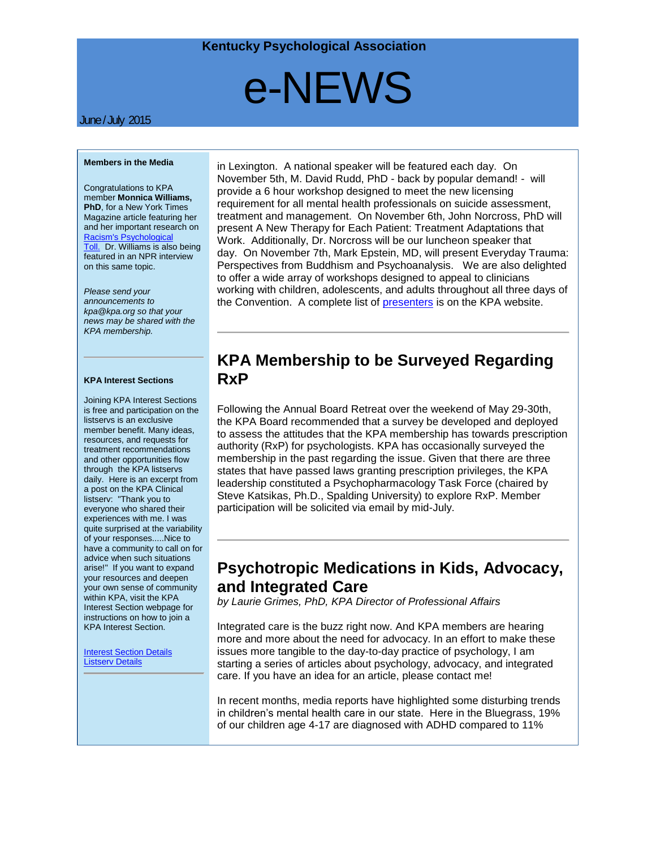## e-NEWS

### June / July 2015

#### **Members in the Media**

Congratulations to KPA member **Monnica Williams, PhD**, for a New York Times Magazine article featuring her and her important research on [Racism's Psychological](http://www.kpa.org/link.asp?e=alexandra@kpa.org&job=1933931&ymlink=3753812&finalurl=http%3A%2F%2Fwww%2Enytimes%2Ecom%2F2015%2F06%2F24%2Fmagazine%2Fracisms%2Dpsychological%2Dtoll%2Ehtml)  [Toll.](http://www.kpa.org/link.asp?e=alexandra@kpa.org&job=1933931&ymlink=3753812&finalurl=http%3A%2F%2Fwww%2Enytimes%2Ecom%2F2015%2F06%2F24%2Fmagazine%2Fracisms%2Dpsychological%2Dtoll%2Ehtml) Dr. Williams is also being featured in an NPR interview on this same topic.

*Please send your announcements to kpa@kpa.org so that your news may be shared with the KPA membership.* 

#### **KPA Interest Sections**

Joining KPA Interest Sections is free and participation on the listservs is an exclusive member benefit. Many ideas, resources, and requests for treatment recommendations and other opportunities flow through the KPA listservs daily. Here is an excerpt from a post on the KPA Clinical listserv: "Thank you to everyone who shared their experiences with me. I was quite surprised at the variability of your responses.....Nice to have a community to call on for advice when such situations arise!" If you want to expand your resources and deepen your own sense of community within KPA, visit the KPA Interest Section webpage for instructions on how to join a KPA Interest Section.

**Interest Section Details** [Listserv Details](http://www.kpa.org/link.asp?e=alexandra@kpa.org&job=1933931&ymlink=3753812&finalurl=https%3A%2F%2Fkpa%2Esite%2Dym%2Ecom%2F%3FKPAListservs)

in Lexington. A national speaker will be featured each day. On November 5th, M. David Rudd, PhD - back by popular demand! - will provide a 6 hour workshop designed to meet the new licensing requirement for all mental health professionals on suicide assessment, treatment and management. On November 6th, John Norcross, PhD will present A New Therapy for Each Patient: Treatment Adaptations that Work. Additionally, Dr. Norcross will be our luncheon speaker that day. On November 7th, Mark Epstein, MD, will present Everyday Trauma: Perspectives from Buddhism and Psychoanalysis. We are also delighted to offer a wide array of workshops designed to appeal to clinicians working with children, adolescents, and adults throughout all three days of the Convention. A complete list of [presenters](http://www.kpa.org/link.asp?e=alexandra@kpa.org&job=1933931&ymlink=3753812&finalurl=http%3A%2F%2Fwww%2Ekpa%2Eorg%2F%3F2015Presenters) is on the KPA website.

## **KPA Membership to be Surveyed Regarding RxP**

Following the Annual Board Retreat over the weekend of May 29-30th, the KPA Board recommended that a survey be developed and deployed to assess the attitudes that the KPA membership has towards prescription authority (RxP) for psychologists. KPA has occasionally surveyed the membership in the past regarding the issue. Given that there are three states that have passed laws granting prescription privileges, the KPA leadership constituted a Psychopharmacology Task Force (chaired by Steve Katsikas, Ph.D., Spalding University) to explore RxP. Member participation will be solicited via email by mid-July.

## **Psychotropic Medications in Kids, Advocacy, and Integrated Care**

*by Laurie Grimes, PhD, KPA Director of Professional Affairs* 

Integrated care is the buzz right now. And KPA members are hearing more and more about the need for advocacy. In an effort to make these issues more tangible to the day-to-day practice of psychology, I am starting a series of articles about psychology, advocacy, and integrated care. If you have an idea for an article, please contact me!

In recent months, media reports have highlighted some disturbing trends in children's mental health care in our state. Here in the Bluegrass, 19% of our children age 4-17 are diagnosed with ADHD compared to 11%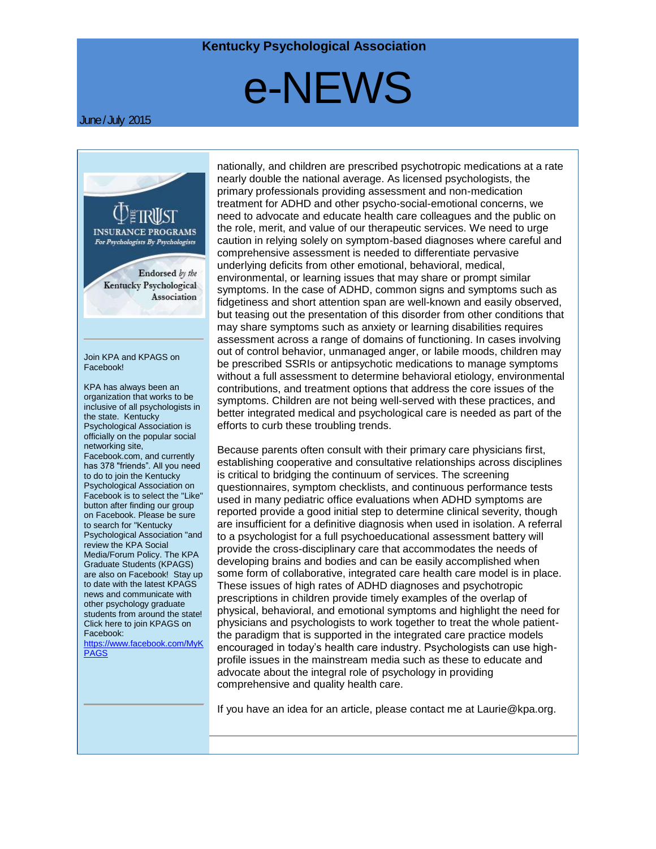## e-NEWS

### June / July 2015



**[PAGS](http://www.kpa.org/link.asp?e=alexandra@kpa.org&job=1933931&ymlink=3753812&finalurl=https%3A%2F%2Fwww%2Efacebook%2Ecom%2FMyKPAGS)** 

nationally, and children are prescribed psychotropic medications at a rate nearly double the national average. As licensed psychologists, the primary professionals providing assessment and non-medication treatment for ADHD and other psycho-social-emotional concerns, we need to advocate and educate health care colleagues and the public on the role, merit, and value of our therapeutic services. We need to urge caution in relying solely on symptom-based diagnoses where careful and comprehensive assessment is needed to differentiate pervasive underlying deficits from other emotional, behavioral, medical, environmental, or learning issues that may share or prompt similar symptoms. In the case of ADHD, common signs and symptoms such as fidgetiness and short attention span are well-known and easily observed, but teasing out the presentation of this disorder from other conditions that may share symptoms such as anxiety or learning disabilities requires assessment across a range of domains of functioning. In cases involving out of control behavior, unmanaged anger, or labile moods, children may be prescribed SSRIs or antipsychotic medications to manage symptoms without a full assessment to determine behavioral etiology, environmental contributions, and treatment options that address the core issues of the symptoms. Children are not being well-served with these practices, and better integrated medical and psychological care is needed as part of the efforts to curb these troubling trends.

Because parents often consult with their primary care physicians first, establishing cooperative and consultative relationships across disciplines is critical to bridging the continuum of services. The screening questionnaires, symptom checklists, and continuous performance tests used in many pediatric office evaluations when ADHD symptoms are reported provide a good initial step to determine clinical severity, though are insufficient for a definitive diagnosis when used in isolation. A referral to a psychologist for a full psychoeducational assessment battery will provide the cross-disciplinary care that accommodates the needs of developing brains and bodies and can be easily accomplished when some form of collaborative, integrated care health care model is in place. These issues of high rates of ADHD diagnoses and psychotropic prescriptions in children provide timely examples of the overlap of physical, behavioral, and emotional symptoms and highlight the need for physicians and psychologists to work together to treat the whole patientthe paradigm that is supported in the integrated care practice models encouraged in today's health care industry. Psychologists can use highprofile issues in the mainstream media such as these to educate and advocate about the integral role of psychology in providing comprehensive and quality health care.

If you have an idea for an article, please contact me at Laurie@kpa.org.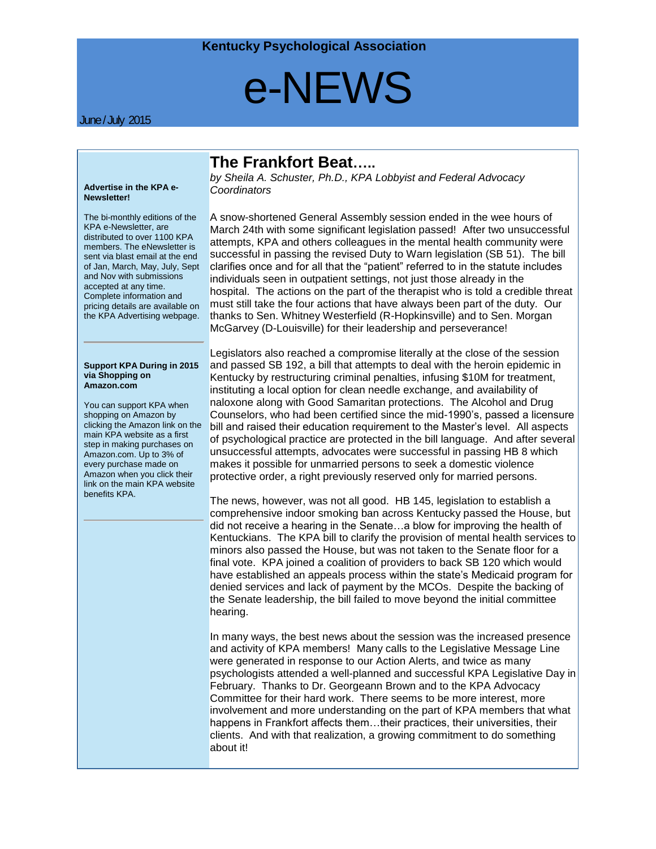## e-NEWS

June / July 2015

#### **Advertise in the KPA e-Newsletter!**

The bi-monthly editions of the KPA e-Newsletter, are distributed to over 1100 KPA members. The eNewsletter is sent via blast email at the end of Jan, March, May, July, Sept and Nov with submissions accepted at any time. Complete information and pricing details are available on the KPA Advertising webpage.

#### **Support KPA During in 2015 via Shopping on Amazon.com**

You can support KPA when shopping on Amazon by clicking the Amazon link on the main KPA website as a first step in making purchases on Amazon.com. Up to 3% of every purchase made on Amazon when you click their link on the main KPA website benefits KPA.

## **The Frankfort Beat…..**

*by Sheila A. Schuster, Ph.D., KPA Lobbyist and Federal Advocacy Coordinators*

A snow-shortened General Assembly session ended in the wee hours of March 24th with some significant legislation passed! After two unsuccessful attempts, KPA and others colleagues in the mental health community were successful in passing the revised Duty to Warn legislation (SB 51). The bill clarifies once and for all that the "patient" referred to in the statute includes individuals seen in outpatient settings, not just those already in the hospital. The actions on the part of the therapist who is told a credible threat must still take the four actions that have always been part of the duty. Our thanks to Sen. Whitney Westerfield (R-Hopkinsville) and to Sen. Morgan McGarvey (D-Louisville) for their leadership and perseverance!

Legislators also reached a compromise literally at the close of the session and passed SB 192, a bill that attempts to deal with the heroin epidemic in Kentucky by restructuring criminal penalties, infusing \$10M for treatment, instituting a local option for clean needle exchange, and availability of naloxone along with Good Samaritan protections. The Alcohol and Drug Counselors, who had been certified since the mid-1990's, passed a licensure bill and raised their education requirement to the Master's level. All aspects of psychological practice are protected in the bill language. And after several unsuccessful attempts, advocates were successful in passing HB 8 which makes it possible for unmarried persons to seek a domestic violence protective order, a right previously reserved only for married persons.

The news, however, was not all good. HB 145, legislation to establish a comprehensive indoor smoking ban across Kentucky passed the House, but did not receive a hearing in the Senate…a blow for improving the health of Kentuckians. The KPA bill to clarify the provision of mental health services to minors also passed the House, but was not taken to the Senate floor for a final vote. KPA joined a coalition of providers to back SB 120 which would have established an appeals process within the state's Medicaid program for denied services and lack of payment by the MCOs. Despite the backing of the Senate leadership, the bill failed to move beyond the initial committee hearing.

In many ways, the best news about the session was the increased presence and activity of KPA members! Many calls to the Legislative Message Line were generated in response to our Action Alerts, and twice as many psychologists attended a well-planned and successful KPA Legislative Day in February. Thanks to Dr. Georgeann Brown and to the KPA Advocacy Committee for their hard work. There seems to be more interest, more involvement and more understanding on the part of KPA members that what happens in Frankfort affects them…their practices, their universities, their clients. And with that realization, a growing commitment to do something about it!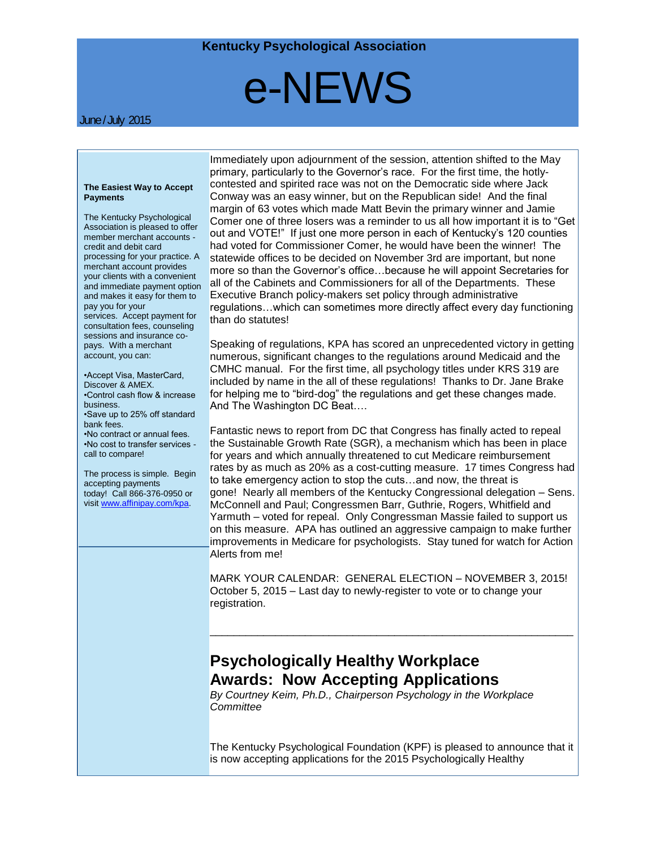## e-NEWS

June / July 2015

#### **The Easiest Way to Accept Payments**

The Kentucky Psychological Association is pleased to offer member merchant accounts credit and debit card processing for your practice. A merchant account provides your clients with a convenient and immediate payment option and makes it easy for them to pay you for your services. Accept payment for consultation fees, counseling sessions and insurance copays. With a merchant account, you can:

•Accept Visa, MasterCard, Discover & AMEX. •Control cash flow & increase business. •Save up to 25% off standard bank fees. •No contract or annual fees. •No cost to transfer services call to compare!

The process is simple. Begin accepting payments today! Call 866-376-0950 or visi[t www.affinipay.com/kpa.](http://www.kpa.org/link.asp?e=alexandra@kpa.org&job=1933931&ymlink=3753812&finalurl=http%3A%2F%2Fwww%2Eaffinipay%2Ecom%2Fkpa)

Immediately upon adjournment of the session, attention shifted to the May primary, particularly to the Governor's race. For the first time, the hotlycontested and spirited race was not on the Democratic side where Jack Conway was an easy winner, but on the Republican side! And the final margin of 63 votes which made Matt Bevin the primary winner and Jamie Comer one of three losers was a reminder to us all how important it is to "Get out and VOTE!" If just one more person in each of Kentucky's 120 counties had voted for Commissioner Comer, he would have been the winner! The statewide offices to be decided on November 3rd are important, but none more so than the Governor's office…because he will appoint Secretaries for all of the Cabinets and Commissioners for all of the Departments. These Executive Branch policy-makers set policy through administrative regulations…which can sometimes more directly affect every day functioning than do statutes!

Speaking of regulations, KPA has scored an unprecedented victory in getting numerous, significant changes to the regulations around Medicaid and the CMHC manual. For the first time, all psychology titles under KRS 319 are included by name in the all of these regulations! Thanks to Dr. Jane Brake for helping me to "bird-dog" the regulations and get these changes made. And The Washington DC Beat….

Fantastic news to report from DC that Congress has finally acted to repeal the Sustainable Growth Rate (SGR), a mechanism which has been in place for years and which annually threatened to cut Medicare reimbursement rates by as much as 20% as a cost-cutting measure. 17 times Congress had to take emergency action to stop the cuts…and now, the threat is gone! Nearly all members of the Kentucky Congressional delegation – Sens. McConnell and Paul; Congressmen Barr, Guthrie, Rogers, Whitfield and Yarmuth – voted for repeal. Only Congressman Massie failed to support us on this measure. APA has outlined an aggressive campaign to make further improvements in Medicare for psychologists. Stay tuned for watch for Action Alerts from me!

MARK YOUR CALENDAR: GENERAL ELECTION – NOVEMBER 3, 2015! October 5, 2015 – Last day to newly-register to vote or to change your registration.

\_\_\_\_\_\_\_\_\_\_\_\_\_\_\_\_\_\_\_\_\_\_\_\_\_\_\_\_\_\_\_\_\_\_\_\_\_\_\_\_\_\_\_\_\_\_\_\_\_\_\_\_\_\_\_\_\_\_\_\_\_

## **Psychologically Healthy Workplace Awards: Now Accepting Applications**

*By Courtney Keim, Ph.D., Chairperson Psychology in the Workplace Committee*

The Kentucky Psychological Foundation (KPF) is pleased to announce that it is now accepting applications for the 2015 Psychologically Healthy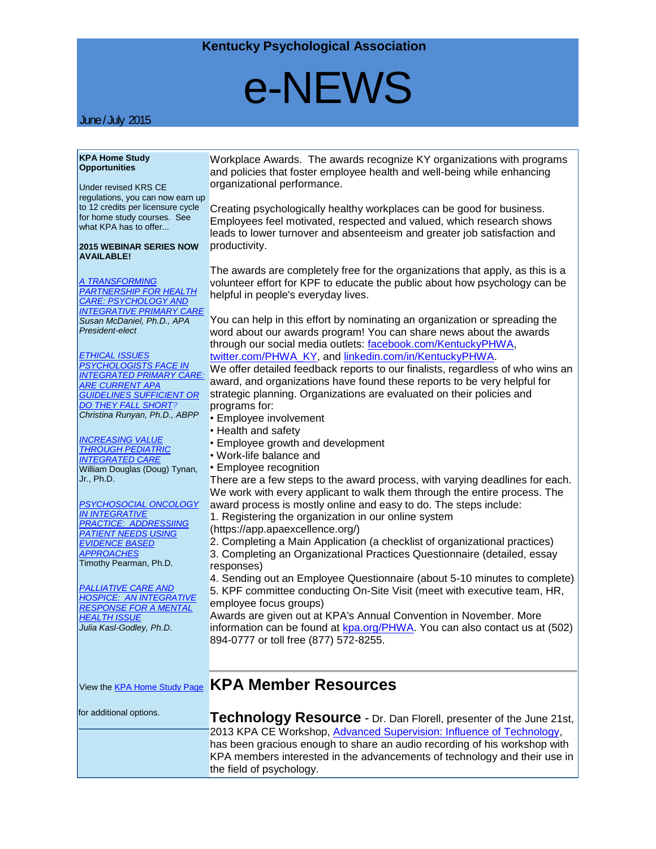

### June / July 2015

### **KPA Home Study Opportunities**

Under revised KRS CE regulations, you can now earn up to 12 credits per licensure cycle for home study courses. See what KPA has to offer...

#### **2015 WEBINAR SERIES NOW AVAILABLE!**

## *[A TRANSFORMING](http://www.kpa.org/link.asp?e=alexandra@kpa.org&job=1933931&ymlink=3753812&finalurl=https%3A%2F%2Fkpa%2Esite%2Dym%2Ecom%2Fstore%2FViewProduct%2Easpx%3Fid%3D4111200)*

*[PARTNERSHIP FOR HEALTH](http://www.kpa.org/link.asp?e=alexandra@kpa.org&job=1933931&ymlink=3753812&finalurl=https%3A%2F%2Fkpa%2Esite%2Dym%2Ecom%2Fstore%2FViewProduct%2Easpx%3Fid%3D4111200)  [CARE: PSYCHOLOGY AND](http://www.kpa.org/link.asp?e=alexandra@kpa.org&job=1933931&ymlink=3753812&finalurl=https%3A%2F%2Fkpa%2Esite%2Dym%2Ecom%2Fstore%2FViewProduct%2Easpx%3Fid%3D4111200)  [INTEGRATIVE PRIMARY CARE](http://www.kpa.org/link.asp?e=alexandra@kpa.org&job=1933931&ymlink=3753812&finalurl=https%3A%2F%2Fkpa%2Esite%2Dym%2Ecom%2Fstore%2FViewProduct%2Easpx%3Fid%3D4111200) Susan McDaniel, Ph.D., APA President-elect*

*[ETHICAL ISSUES](http://www.kpa.org/link.asp?e=alexandra@kpa.org&job=1933931&ymlink=3753812&finalurl=https%3A%2F%2Fkpa%2Esite%2Dym%2Ecom%2Fstore%2FViewProduct%2Easpx%3Fid%3D4111200)  [PSYCHOLOGISTS FACE IN](http://www.kpa.org/link.asp?e=alexandra@kpa.org&job=1933931&ymlink=3753812&finalurl=https%3A%2F%2Fkpa%2Esite%2Dym%2Ecom%2Fstore%2FViewProduct%2Easpx%3Fid%3D4111200)  [INTEGRATED PRIMARY CARE:](http://www.kpa.org/link.asp?e=alexandra@kpa.org&job=1933931&ymlink=3753812&finalurl=https%3A%2F%2Fkpa%2Esite%2Dym%2Ecom%2Fstore%2FViewProduct%2Easpx%3Fid%3D4111200)  [ARE CURRENT APA](http://www.kpa.org/link.asp?e=alexandra@kpa.org&job=1933931&ymlink=3753812&finalurl=https%3A%2F%2Fkpa%2Esite%2Dym%2Ecom%2Fstore%2FViewProduct%2Easpx%3Fid%3D4111200)  [GUIDELINES SUFFICIENT OR](http://www.kpa.org/link.asp?e=alexandra@kpa.org&job=1933931&ymlink=3753812&finalurl=https%3A%2F%2Fkpa%2Esite%2Dym%2Ecom%2Fstore%2FViewProduct%2Easpx%3Fid%3D4111200)  [DO THEY FALL SHORT?](http://www.kpa.org/link.asp?e=alexandra@kpa.org&job=1933931&ymlink=3753812&finalurl=https%3A%2F%2Fkpa%2Esite%2Dym%2Ecom%2Fstore%2FViewProduct%2Easpx%3Fid%3D4111200) Christina Runyan, Ph.D., ABPP*

*[INCREASING VALUE](http://www.kpa.org/link.asp?e=alexandra@kpa.org&job=1933931&ymlink=3753812&finalurl=https%3A%2F%2Fkpa%2Esite%2Dym%2Ecom%2Fstore%2FViewProduct%2Easpx%3Fid%3D4429455)  [THROUGH PEDIATRIC](http://www.kpa.org/link.asp?e=alexandra@kpa.org&job=1933931&ymlink=3753812&finalurl=https%3A%2F%2Fkpa%2Esite%2Dym%2Ecom%2Fstore%2FViewProduct%2Easpx%3Fid%3D4429455)  [INTEGRATED CARE](http://www.kpa.org/link.asp?e=alexandra@kpa.org&job=1933931&ymlink=3753812&finalurl=https%3A%2F%2Fkpa%2Esite%2Dym%2Ecom%2Fstore%2FViewProduct%2Easpx%3Fid%3D4429455)* William Douglas (Doug) Tynan, Jr., Ph.D.

*[PSYCHOSOCIAL ONCOLOGY](http://www.kpa.org/link.asp?e=alexandra@kpa.org&job=1933931&ymlink=3753812&finalurl=https%3A%2F%2Fkpa%2Esite%2Dym%2Ecom%2Fstore%2FViewProduct%2Easpx%3Fid%3D4720704)  [IN INTEGRATIVE](http://www.kpa.org/link.asp?e=alexandra@kpa.org&job=1933931&ymlink=3753812&finalurl=https%3A%2F%2Fkpa%2Esite%2Dym%2Ecom%2Fstore%2FViewProduct%2Easpx%3Fid%3D4720704)  PRACTICE: [ADDRESSIING](http://www.kpa.org/link.asp?e=alexandra@kpa.org&job=1933931&ymlink=3753812&finalurl=https%3A%2F%2Fkpa%2Esite%2Dym%2Ecom%2Fstore%2FViewProduct%2Easpx%3Fid%3D4720704)  [PATIENT NEEDS USING](http://www.kpa.org/link.asp?e=alexandra@kpa.org&job=1933931&ymlink=3753812&finalurl=https%3A%2F%2Fkpa%2Esite%2Dym%2Ecom%2Fstore%2FViewProduct%2Easpx%3Fid%3D4720704)  [EVIDENCE BASED](http://www.kpa.org/link.asp?e=alexandra@kpa.org&job=1933931&ymlink=3753812&finalurl=https%3A%2F%2Fkpa%2Esite%2Dym%2Ecom%2Fstore%2FViewProduct%2Easpx%3Fid%3D4720704)  [APPROACHES](http://www.kpa.org/link.asp?e=alexandra@kpa.org&job=1933931&ymlink=3753812&finalurl=https%3A%2F%2Fkpa%2Esite%2Dym%2Ecom%2Fstore%2FViewProduct%2Easpx%3Fid%3D4720704)* Timothy Pearman, Ph.D.

*[PALLIATIVE CARE AND](http://www.kpa.org/link.asp?e=alexandra@kpa.org&job=1933931&ymlink=3753812&finalurl=https%3A%2F%2Fkpa%2Esite%2Dym%2Ecom%2Fstore%2FViewProduct%2Easpx%3Fid%3D4716987)  HOSPICE: [AN INTEGRATIVE](http://www.kpa.org/link.asp?e=alexandra@kpa.org&job=1933931&ymlink=3753812&finalurl=https%3A%2F%2Fkpa%2Esite%2Dym%2Ecom%2Fstore%2FViewProduct%2Easpx%3Fid%3D4716987)  [RESPONSE FOR A MENTAL](http://www.kpa.org/link.asp?e=alexandra@kpa.org&job=1933931&ymlink=3753812&finalurl=https%3A%2F%2Fkpa%2Esite%2Dym%2Ecom%2Fstore%2FViewProduct%2Easpx%3Fid%3D4716987)  [HEALTH ISSUE](http://www.kpa.org/link.asp?e=alexandra@kpa.org&job=1933931&ymlink=3753812&finalurl=https%3A%2F%2Fkpa%2Esite%2Dym%2Ecom%2Fstore%2FViewProduct%2Easpx%3Fid%3D4716987) Julia Kasl-Godley, Ph.D*.

View the [KPA Home Study Page](http://www.kpa.org/link.asp?e=alexandra@kpa.org&job=1933931&ymlink=3753812&finalurl=http%3A%2F%2Fkpa%2Eorg%2Fdisplaycommon%2Ecfm%3Fan%3D1%26subarticlenbr%3D15) **KPA Member Resources** 

the field of psychology.

for additional options.

Workplace Awards. The awards recognize KY organizations with programs and policies that foster employee health and well-being while enhancing organizational performance.

Creating psychologically healthy workplaces can be good for business. Employees feel motivated, respected and valued, which research shows leads to lower turnover and absenteeism and greater job satisfaction and productivity.

The awards are completely free for the organizations that apply, as this is a volunteer effort for KPF to educate the public about how psychology can be helpful in people's everyday lives.

You can help in this effort by nominating an organization or spreading the word about our awards program! You can share news about the awards through our social media outlets: [facebook.com/KentuckyPHWA,](http://www.kpa.org/link.asp?e=alexandra@kpa.org&job=1933931&ymlink=3753812&finalurl=http%3A%2F%2Ffacebook%2Ecom%2FKentuckyPHWA) [twitter.com/PHWA\\_KY,](http://www.kpa.org/link.asp?e=alexandra@kpa.org&job=1933931&ymlink=3753812&finalurl=http%3A%2F%2Ftwitter%2Ecom%2FPHWA%5FKY) and [linkedin.com/in/KentuckyPHWA.](http://www.kpa.org/link.asp?e=alexandra@kpa.org&job=1933931&ymlink=3753812&finalurl=http%3A%2F%2Flinkedin%2Ecom%2Fin%2FKentuckyPHWA)

We offer detailed feedback reports to our finalists, regardless of who wins an award, and organizations have found these reports to be very helpful for strategic planning. Organizations are evaluated on their policies and programs for:

- Employee involvement
- Health and safety
- Employee growth and development
- Work-life balance and
- Employee recognition

There are a few steps to the award process, with varying deadlines for each. We work with every applicant to walk them through the entire process. The award process is mostly online and easy to do. The steps include:

- 1. Registering the organization in our online system
- (https://app.apaexcellence.org/)

2. Completing a Main Application (a checklist of organizational practices)

3. Completing an Organizational Practices Questionnaire (detailed, essay responses)

4. Sending out an Employee Questionnaire (about 5-10 minutes to complete) 5. KPF committee conducting On-Site Visit (meet with executive team, HR,

employee focus groups)

Awards are given out at KPA's Annual Convention in November. More information can be found at [kpa.org/PHWA.](http://www.kpa.org/link.asp?e=alexandra@kpa.org&job=1933931&ymlink=3753812&finalurl=http%3A%2F%2Fkpa%2Eorg%2FPHWA) You can also contact us at (502) 894-0777 or toll free (877) 572-8255.

**Technology Resource** - Dr. Dan Florell, presenter of the June 21st, 2013 KPA CE Workshop, [Advanced Supervision: Influence of Technology,](http://www.kpa.org/link.asp?e=alexandra@kpa.org&job=1933931&ymlink=3753812&finalurl=http%3A%2F%2Fwww%2Ekpa%2Eorg%2Fgeneral%2Fcustom%2Easp%3Fpage%3D680) has been gracious enough to share an audio recording of his workshop with KPA members interested in the advancements of technology and their use in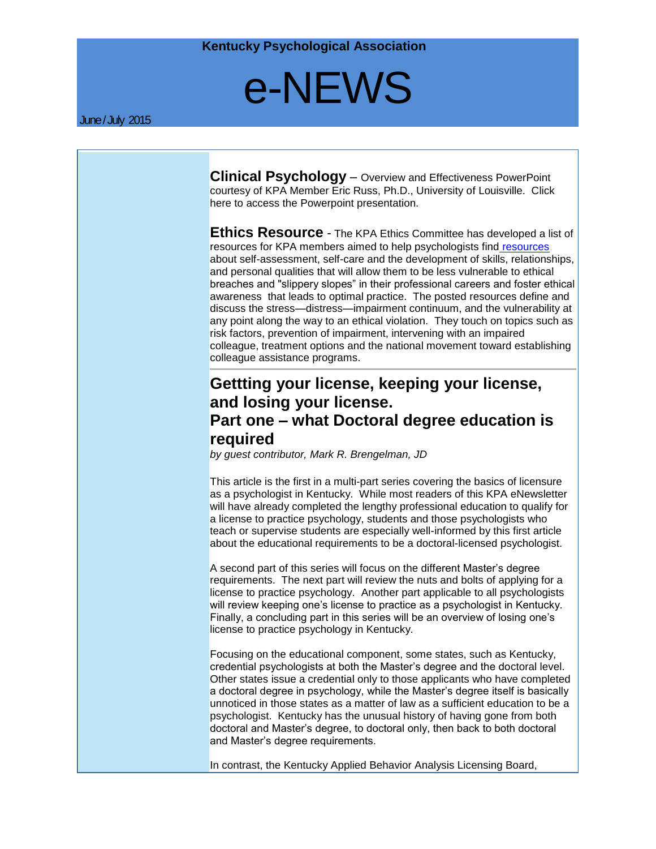# e-NEWS

**Clinical Psychology** – Overview and Effectiveness PowerPoint courtesy of KPA Member Eric Russ, Ph.D., University of Louisville. Click here to access the Powerpoint presentation.

**Ethics Resource** - The KPA Ethics Committee has developed a list of resources for KPA members aimed to help psychologists find [resources](http://www.kpa.org/link.asp?e=alexandra@kpa.org&job=1933931&ymlink=3753812&finalurl=http%3A%2F%2Fkpa%2Esite%2Dym%2Ecom%2F%3Fpage%3D19%26hhSearchTerms%3D%2522resources%2522%23Ethics) about self-assessment, self-care and the development of skills, relationships, and personal qualities that will allow them to be less vulnerable to ethical breaches and "slippery slopes" in their professional careers and foster ethical awareness that leads to optimal practice. The posted resources define and discuss the stress—distress—impairment continuum, and the vulnerability at any point along the way to an ethical violation. They touch on topics such as risk factors, prevention of impairment, intervening with an impaired colleague, treatment options and the national movement toward establishing colleague assistance programs.

## **Gettting your license, keeping your license, and losing your license. Part one – what Doctoral degree education is required**

*by guest contributor, Mark R. Brengelman, JD*

This article is the first in a multi-part series covering the basics of licensure as a psychologist in Kentucky. While most readers of this KPA eNewsletter will have already completed the lengthy professional education to qualify for a license to practice psychology, students and those psychologists who teach or supervise students are especially well-informed by this first article about the educational requirements to be a doctoral-licensed psychologist.

A second part of this series will focus on the different Master's degree requirements. The next part will review the nuts and bolts of applying for a license to practice psychology. Another part applicable to all psychologists will review keeping one's license to practice as a psychologist in Kentucky. Finally, a concluding part in this series will be an overview of losing one's license to practice psychology in Kentucky.

Focusing on the educational component, some states, such as Kentucky, credential psychologists at both the Master's degree and the doctoral level. Other states issue a credential only to those applicants who have completed a doctoral degree in psychology, while the Master's degree itself is basically unnoticed in those states as a matter of law as a sufficient education to be a psychologist. Kentucky has the unusual history of having gone from both doctoral and Master's degree, to doctoral only, then back to both doctoral and Master's degree requirements.

In contrast, the Kentucky Applied Behavior Analysis Licensing Board,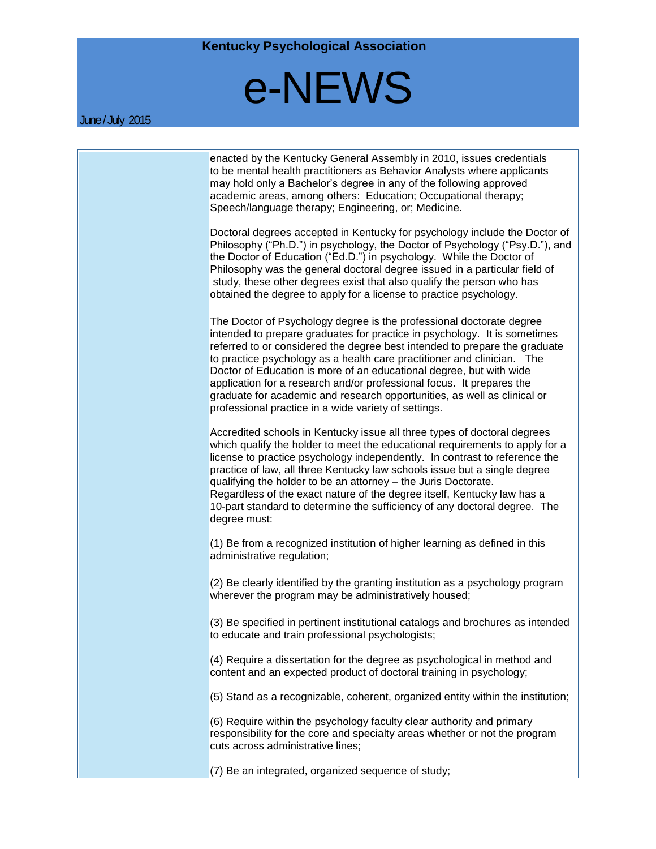## e-NEWS

June / July 2015

enacted by the Kentucky General Assembly in 2010, issues credentials to be mental health practitioners as Behavior Analysts where applicants may hold only a Bachelor's degree in any of the following approved academic areas, among others: Education; Occupational therapy; Speech/language therapy; Engineering, or; Medicine.

Doctoral degrees accepted in Kentucky for psychology include the Doctor of Philosophy ("Ph.D.") in psychology, the Doctor of Psychology ("Psy.D."), and the Doctor of Education ("Ed.D.") in psychology. While the Doctor of Philosophy was the general doctoral degree issued in a particular field of study, these other degrees exist that also qualify the person who has obtained the degree to apply for a license to practice psychology.

The Doctor of Psychology degree is the professional doctorate degree intended to prepare graduates for practice in psychology. It is sometimes referred to or considered the degree best intended to prepare the graduate to practice psychology as a health care practitioner and clinician. The Doctor of Education is more of an educational degree, but with wide application for a research and/or professional focus. It prepares the graduate for academic and research opportunities, as well as clinical or professional practice in a wide variety of settings.

Accredited schools in Kentucky issue all three types of doctoral degrees which qualify the holder to meet the educational requirements to apply for a license to practice psychology independently. In contrast to reference the practice of law, all three Kentucky law schools issue but a single degree qualifying the holder to be an attorney – the Juris Doctorate. Regardless of the exact nature of the degree itself, Kentucky law has a 10-part standard to determine the sufficiency of any doctoral degree. The degree must:

(1) Be from a recognized institution of higher learning as defined in this administrative regulation;

(2) Be clearly identified by the granting institution as a psychology program wherever the program may be administratively housed;

(3) Be specified in pertinent institutional catalogs and brochures as intended to educate and train professional psychologists;

(4) Require a dissertation for the degree as psychological in method and content and an expected product of doctoral training in psychology;

(5) Stand as a recognizable, coherent, organized entity within the institution;

(6) Require within the psychology faculty clear authority and primary responsibility for the core and specialty areas whether or not the program cuts across administrative lines;

(7) Be an integrated, organized sequence of study;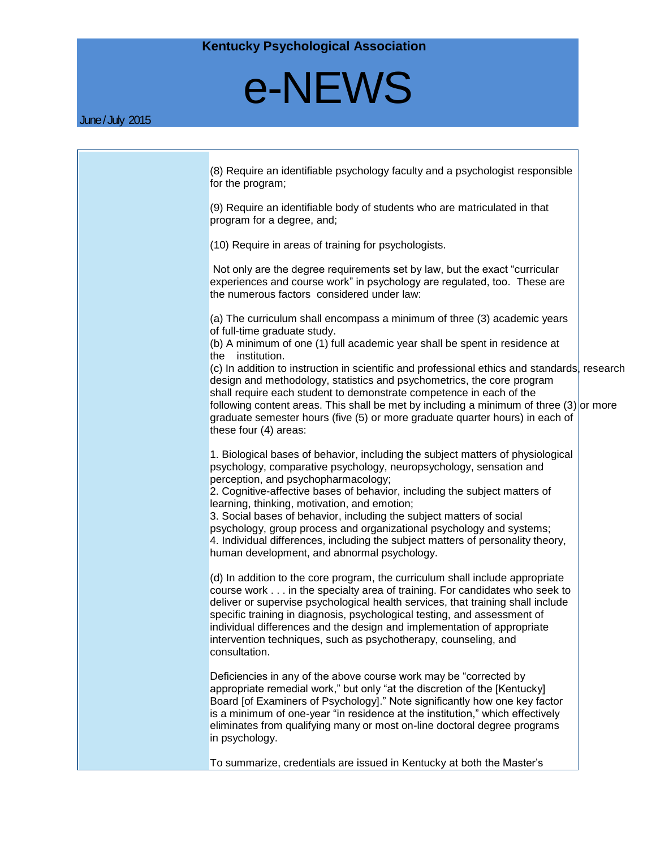# e-NEWS

(8) Require an identifiable psychology faculty and a psychologist responsible for the program;

(9) Require an identifiable body of students who are matriculated in that program for a degree, and;

(10) Require in areas of training for psychologists.

Not only are the degree requirements set by law, but the exact "curricular experiences and course work" in psychology are regulated, too. These are the numerous factors considered under law:

(a) The curriculum shall encompass a minimum of three (3) academic years of full-time graduate study.

(b) A minimum of one (1) full academic year shall be spent in residence at the institution.

(c) In addition to instruction in scientific and professional ethics and standards, research design and methodology, statistics and psychometrics, the core program shall require each student to demonstrate competence in each of the following content areas. This shall be met by including a minimum of three  $(3)$  or more graduate semester hours (five (5) or more graduate quarter hours) in each of these four (4) areas:

1. Biological bases of behavior, including the subject matters of physiological psychology, comparative psychology, neuropsychology, sensation and perception, and psychopharmacology;

2. Cognitive-affective bases of behavior, including the subject matters of learning, thinking, motivation, and emotion;

3. Social bases of behavior, including the subject matters of social psychology, group process and organizational psychology and systems; 4. Individual differences, including the subject matters of personality theory, human development, and abnormal psychology.

(d) In addition to the core program, the curriculum shall include appropriate course work . . . in the specialty area of training. For candidates who seek to deliver or supervise psychological health services, that training shall include specific training in diagnosis, psychological testing, and assessment of individual differences and the design and implementation of appropriate intervention techniques, such as psychotherapy, counseling, and consultation.

Deficiencies in any of the above course work may be "corrected by appropriate remedial work," but only "at the discretion of the [Kentucky] Board [of Examiners of Psychology]." Note significantly how one key factor is a minimum of one-year "in residence at the institution," which effectively eliminates from qualifying many or most on-line doctoral degree programs in psychology.

To summarize, credentials are issued in Kentucky at both the Master's